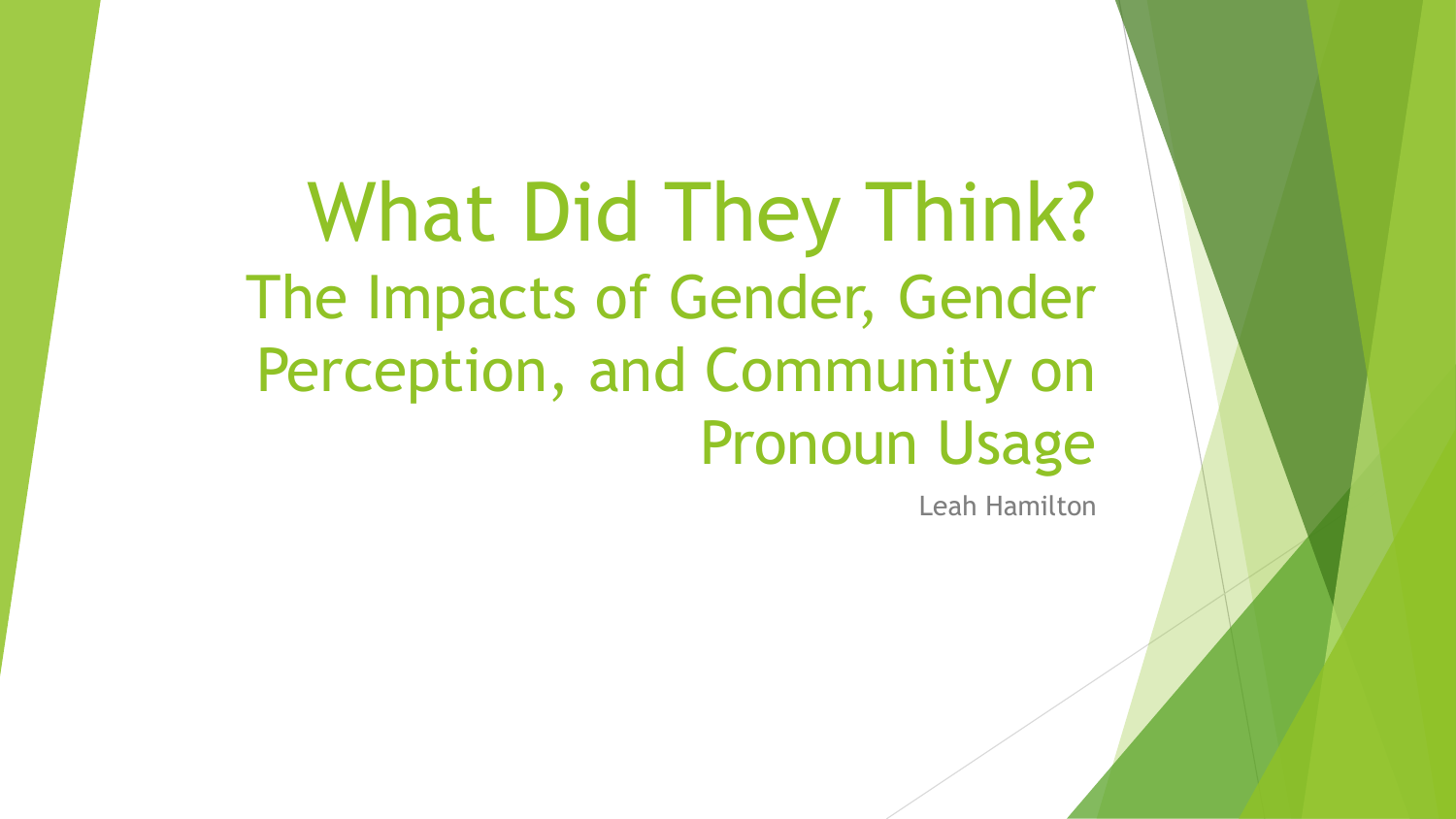What Did They Think? The Impacts of Gender, Gender Perception, and Community on Pronoun Usage

Leah Hamilton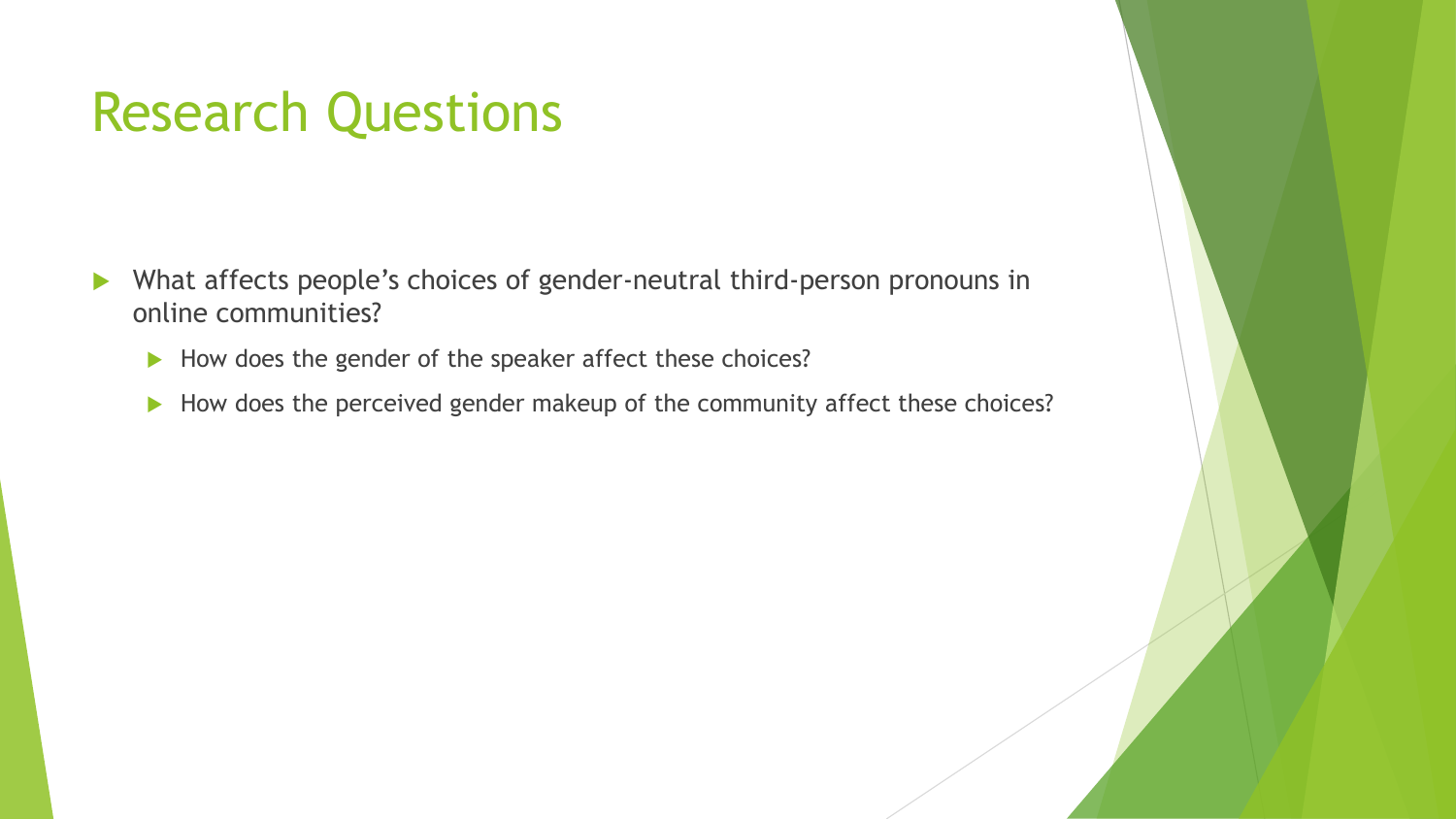### Research Questions

- What affects people's choices of gender-neutral third-person pronouns in online communities?
	- $\blacktriangleright$  How does the gender of the speaker affect these choices?
	- How does the perceived gender makeup of the community affect these choices?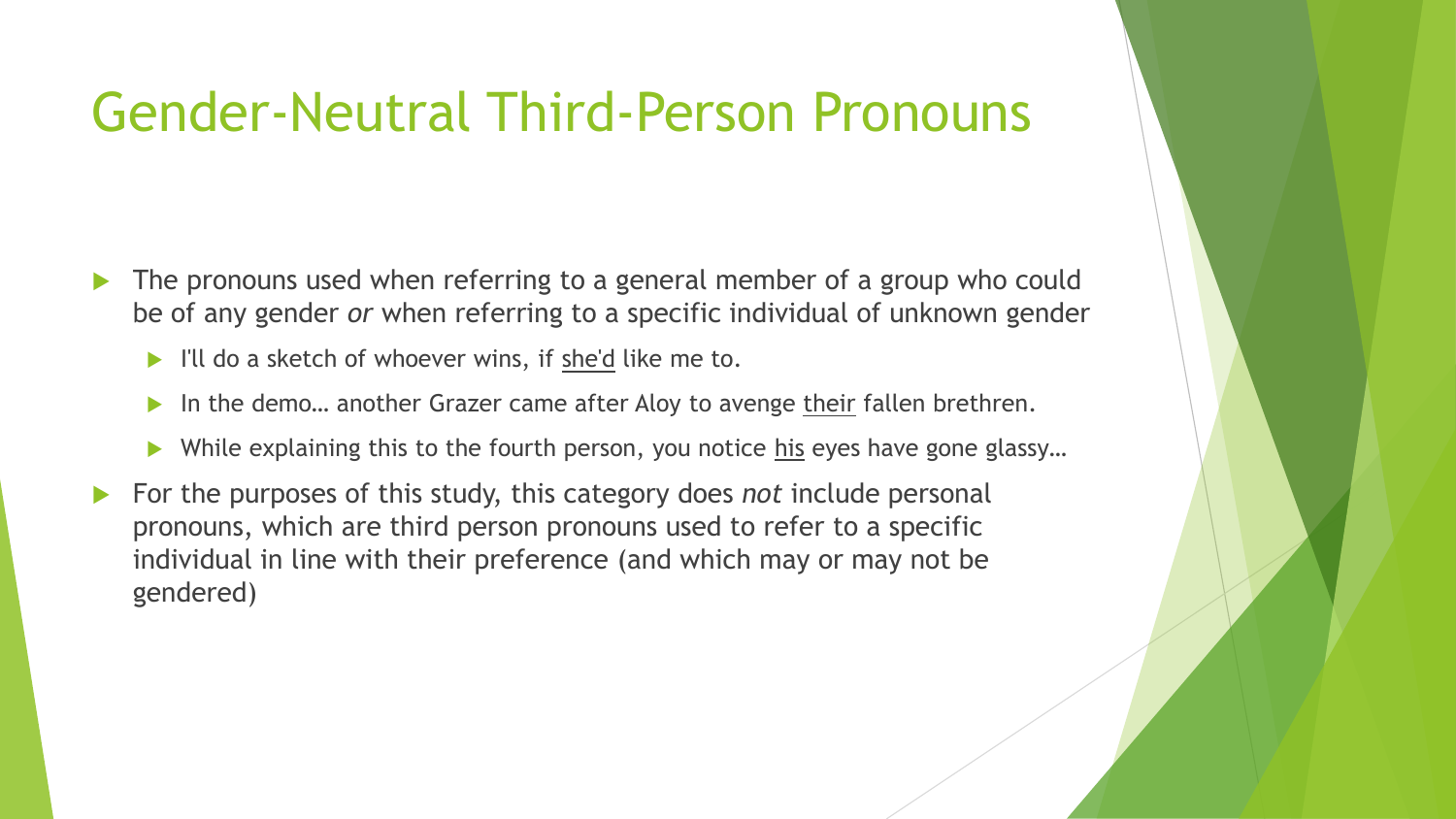### Gender-Neutral Third-Person Pronouns

- The pronouns used when referring to a general member of a group who could be of any gender *or* when referring to a specific individual of unknown gender
	- I'll do a sketch of whoever wins, if she'd like me to.
	- In the demo... another Grazer came after Aloy to avenge their fallen brethren.
	- While explaining this to the fourth person, you notice his eyes have gone glassy…
- For the purposes of this study, this category does *not* include personal pronouns, which are third person pronouns used to refer to a specific individual in line with their preference (and which may or may not be gendered)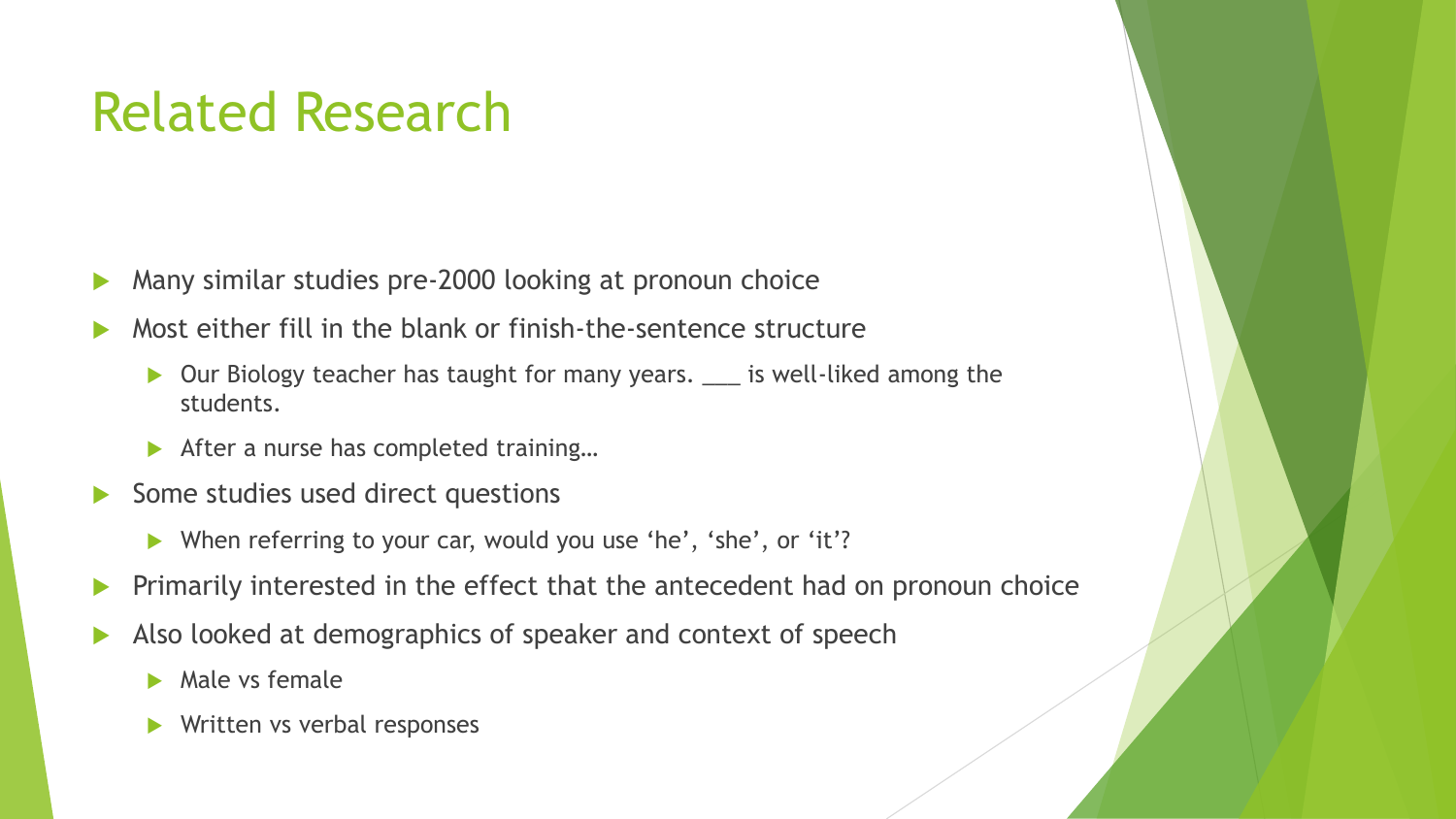# Related Research

- **Many similar studies pre-2000 looking at pronoun choice**
- Most either fill in the blank or finish-the-sentence structure
	- ▶ Our Biology teacher has taught for many years. <u>\_\_\_</u> is well-liked among the students.
	- After a nurse has completed training...
- Some studies used direct questions
	- When referring to your car, would you use 'he', 'she', or 'it'?
- **Primarily interested in the effect that the antecedent had on pronoun choice**
- Also looked at demographics of speaker and context of speech
	- $\blacktriangleright$  Male vs female
	- Written vs verbal responses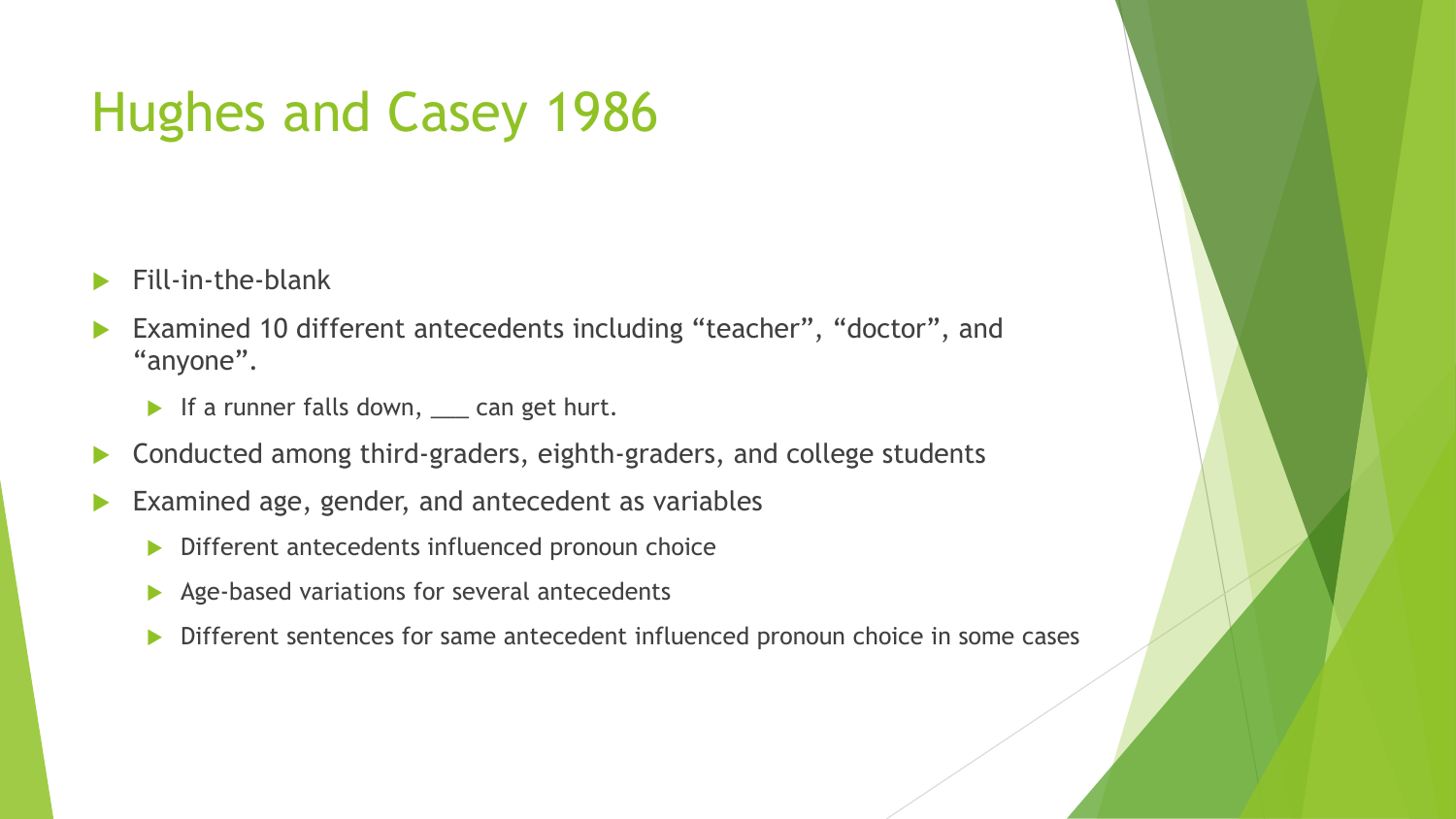# Hughes and Casey 1986

- Fill-in-the-blank
- Examined 10 different antecedents including "teacher", "doctor", and "anyone".
	- If a runner falls down, \_\_\_ can get hurt.
- ▶ Conducted among third-graders, eighth-graders, and college students
- Examined age, gender, and antecedent as variables
	- Different antecedents influenced pronoun choice
	- Age-based variations for several antecedents
	- Different sentences for same antecedent influenced pronoun choice in some cases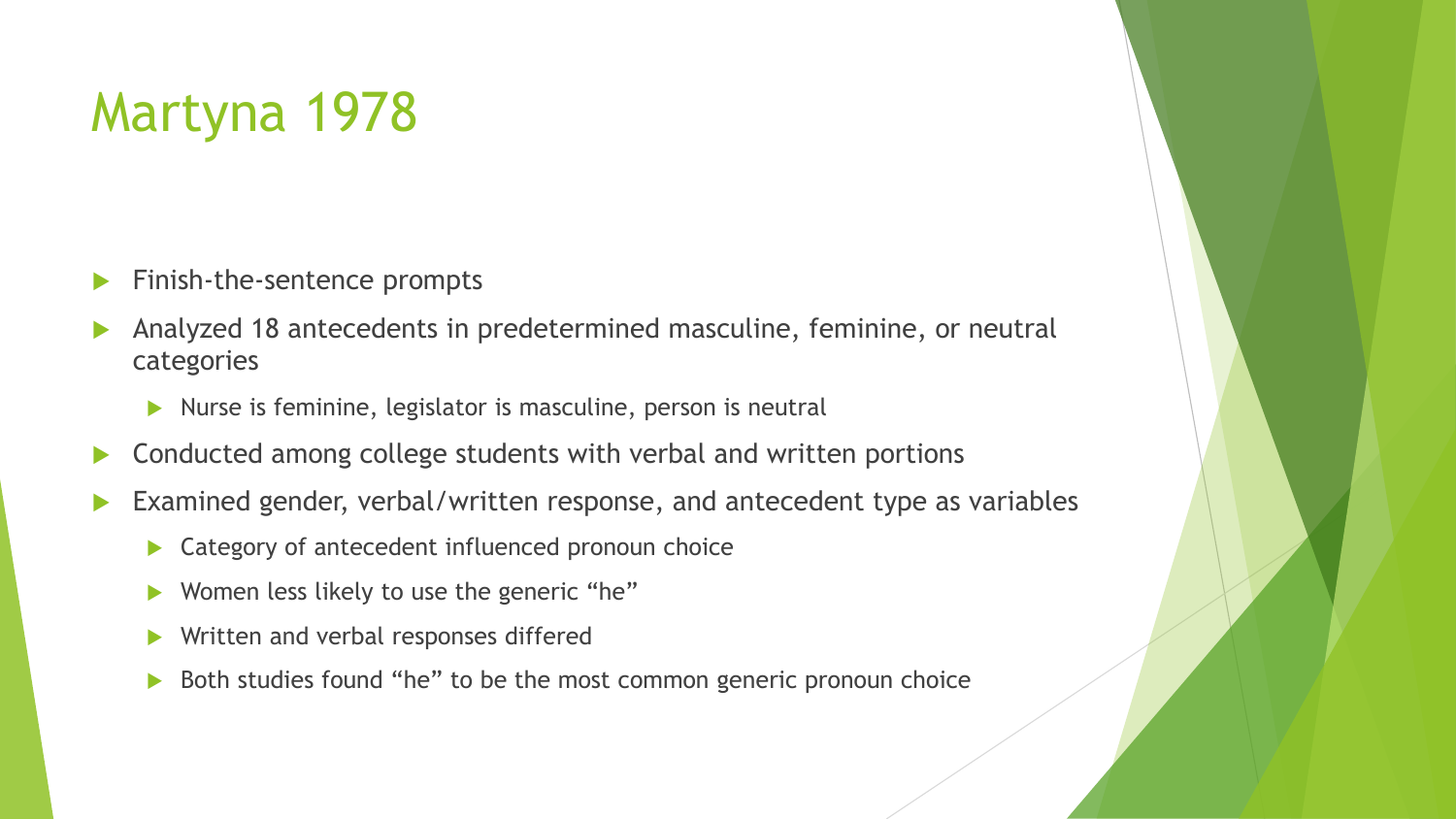# Martyna 1978

- **Finish-the-sentence prompts**
- Analyzed 18 antecedents in predetermined masculine, feminine, or neutral categories
	- $\triangleright$  Nurse is feminine, legislator is masculine, person is neutral
- ▶ Conducted among college students with verbal and written portions
- Examined gender, verbal/written response, and antecedent type as variables
	- ▶ Category of antecedent influenced pronoun choice
	- ▶ Women less likely to use the generic "he"
	- Written and verbal responses differed
	- Both studies found "he" to be the most common generic pronoun choice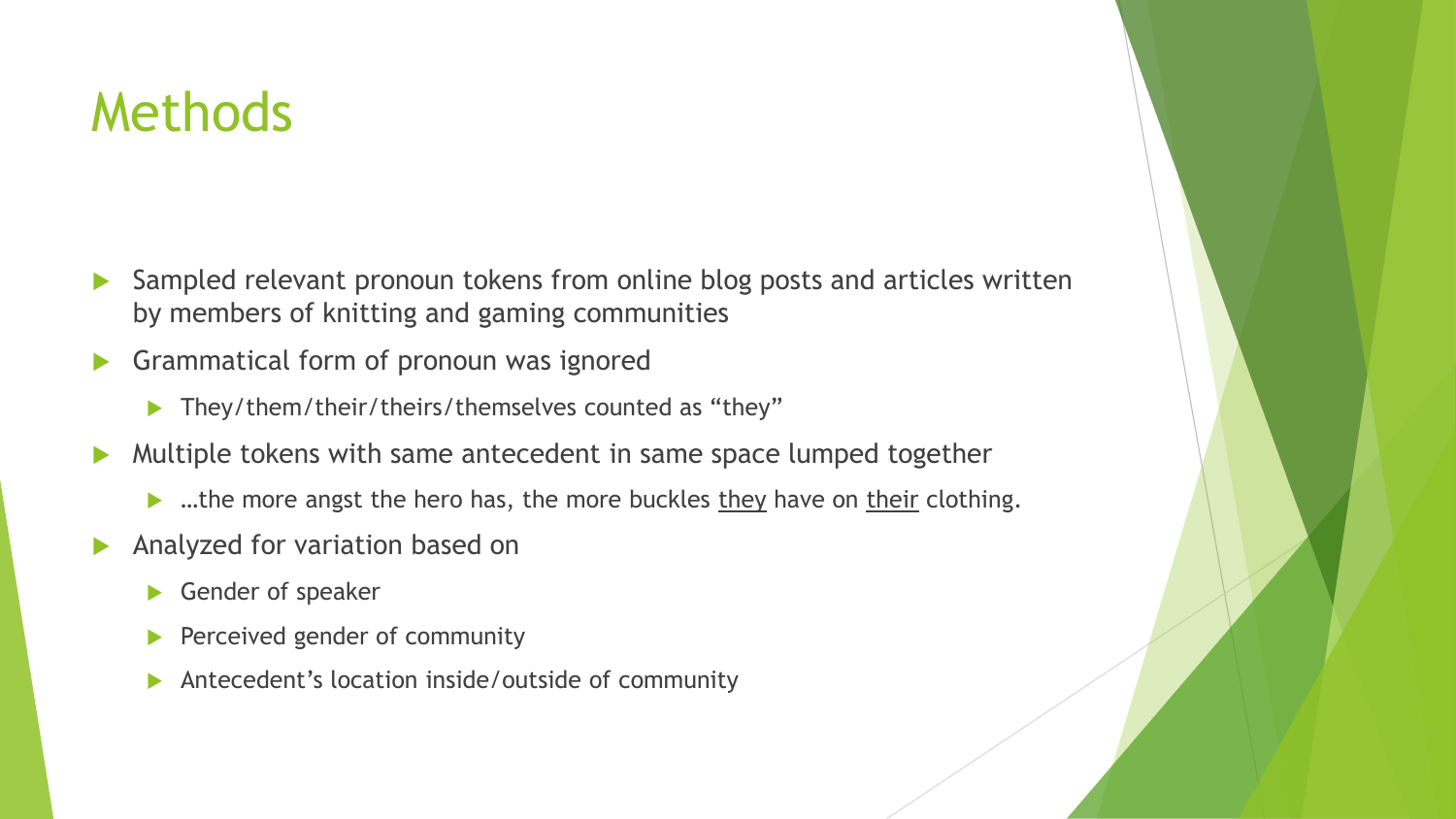# **Methods**

- Sampled relevant pronoun tokens from online blog posts and articles written by members of knitting and gaming communities
- Grammatical form of pronoun was ignored
	- ▶ They/them/their/theirs/themselves counted as "they"
- Multiple tokens with same antecedent in same space lumped together
	- $\blacktriangleright$  ...the more angst the hero has, the more buckles they have on their clothing.
- Analyzed for variation based on
	- Gender of speaker
	- Perceived gender of community
	- Antecedent's location inside/outside of community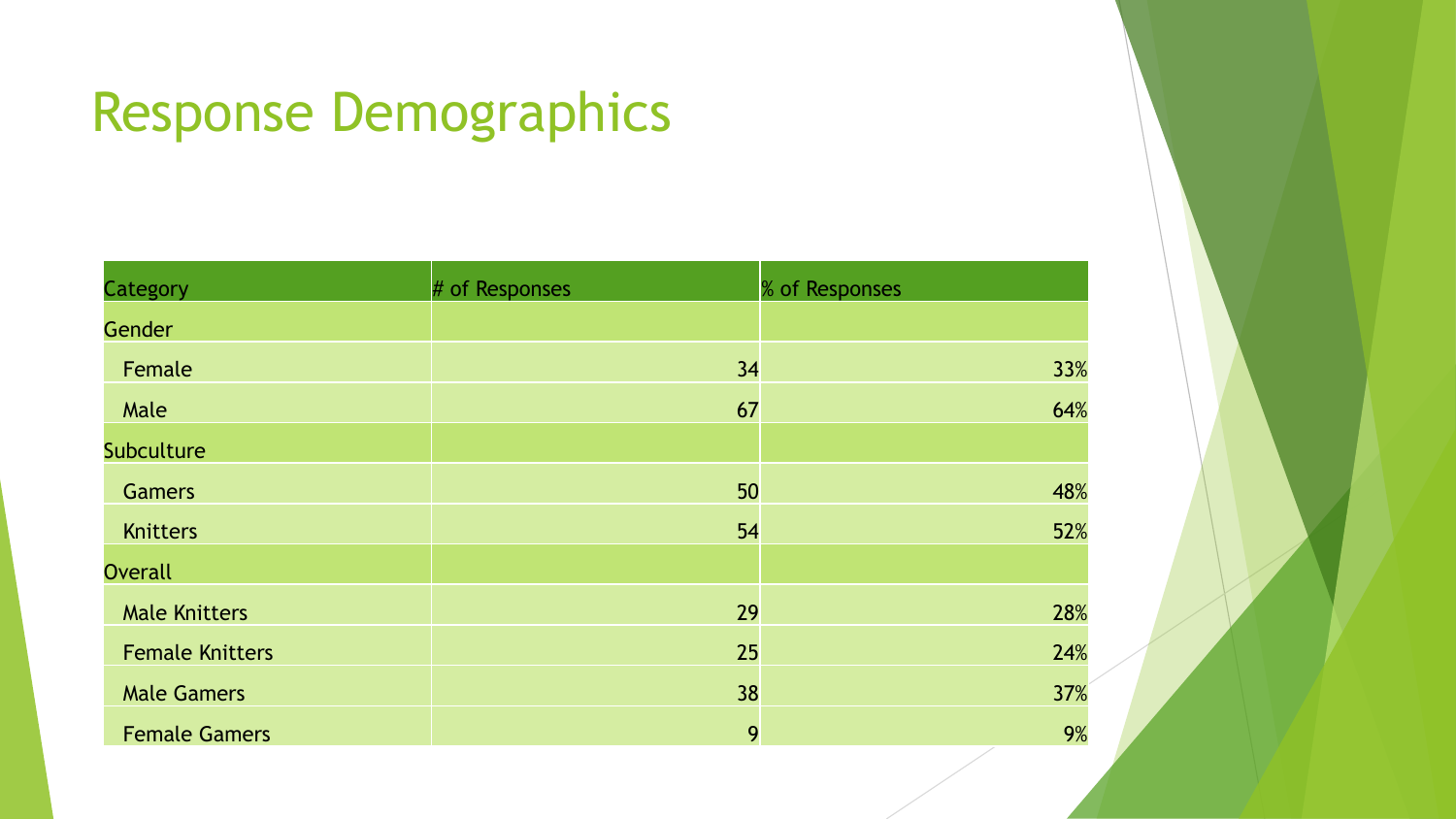# Response Demographics

| Category               | # of Responses | % of Responses |
|------------------------|----------------|----------------|
| <b>Gender</b>          |                |                |
| Female                 | 34             | 33%            |
| Male                   | 67             | 64%            |
| Subculture             |                |                |
| <b>Gamers</b>          | 50             | 48%            |
| Knitters               | 54             | 52%            |
| <b>Overall</b>         |                |                |
| <b>Male Knitters</b>   | 29             | 28%            |
| <b>Female Knitters</b> | 25             | 24%            |
| <b>Male Gamers</b>     | 38             | 37%            |
| <b>Female Gamers</b>   | 9              | 9%             |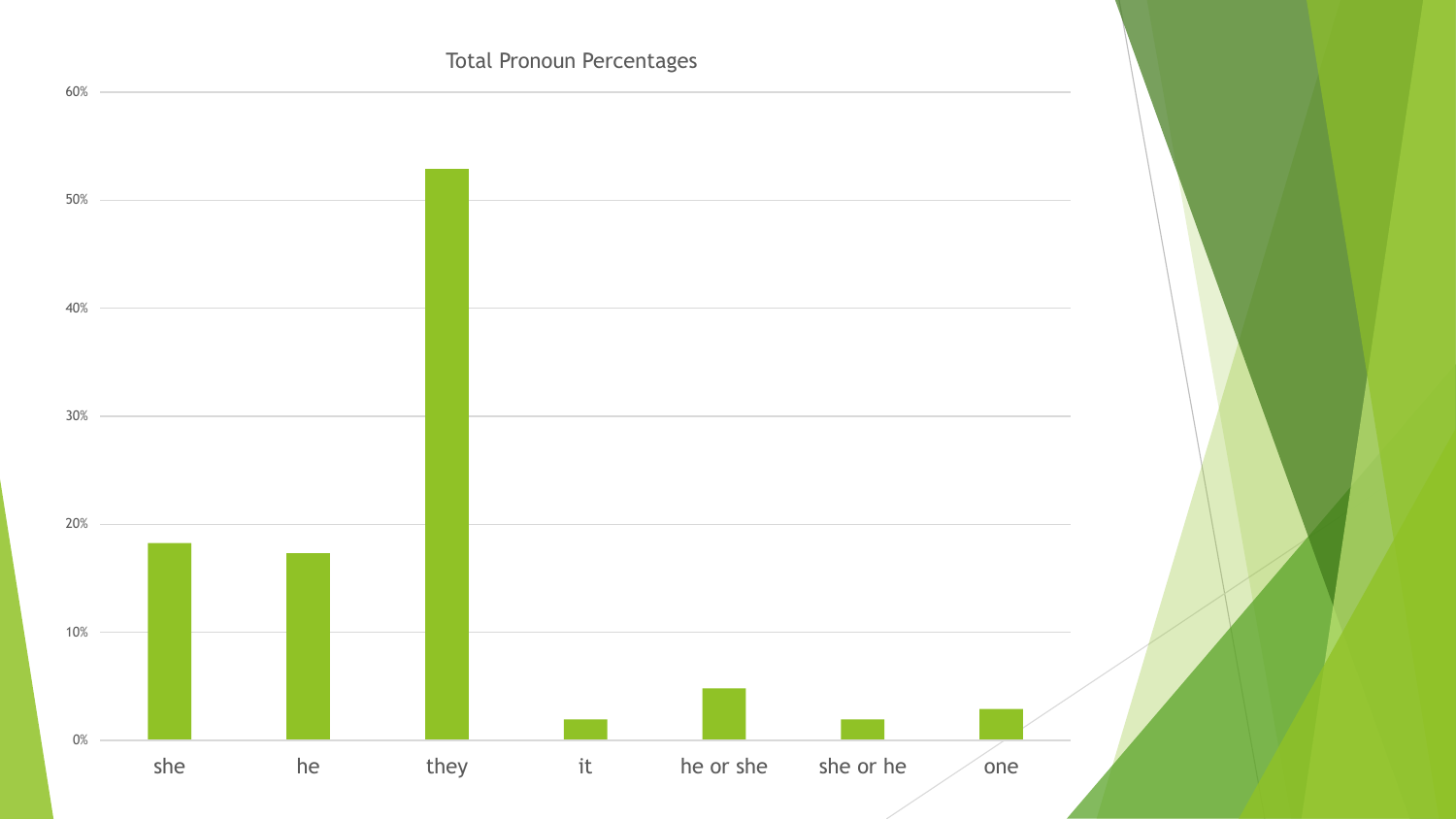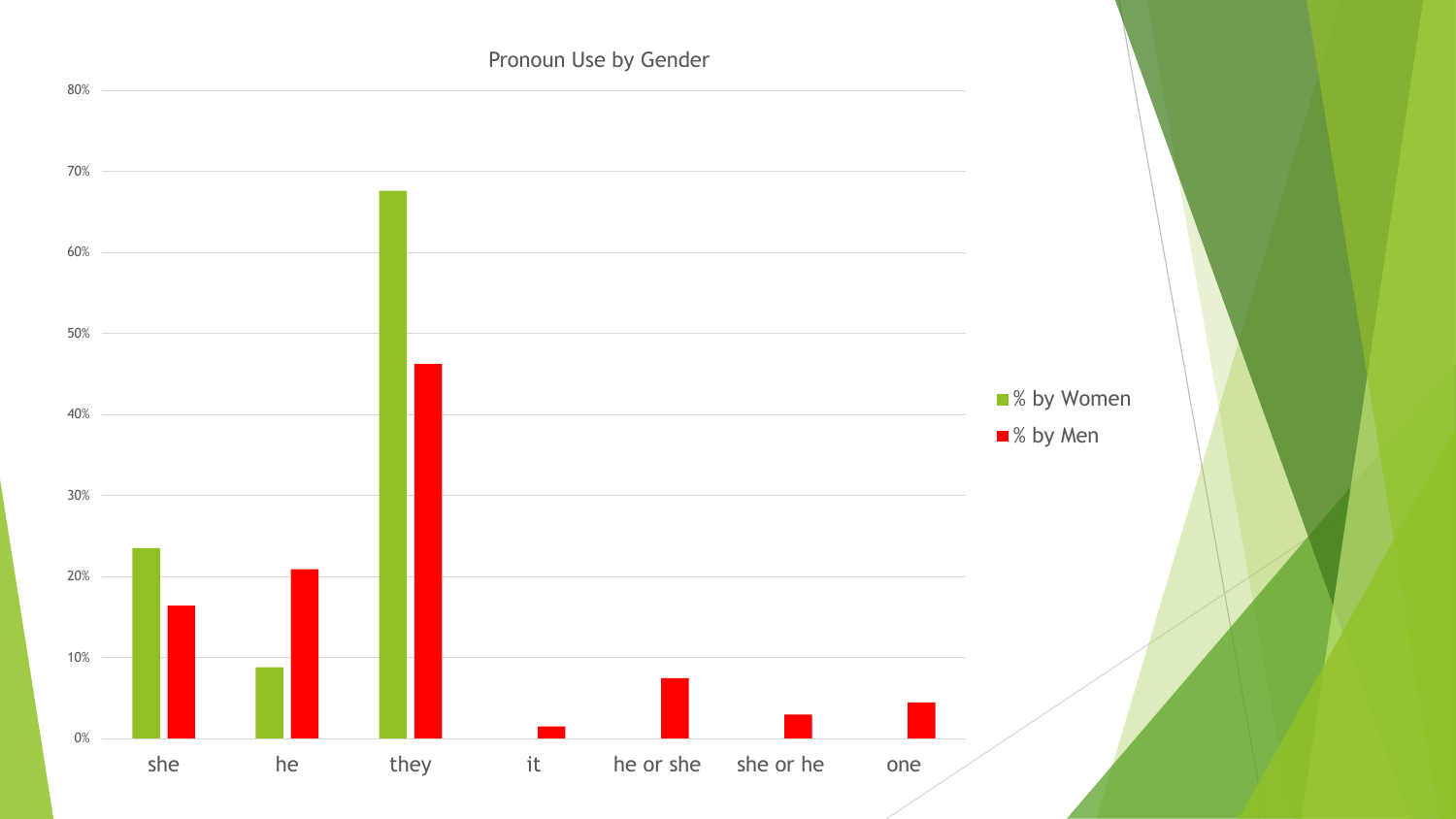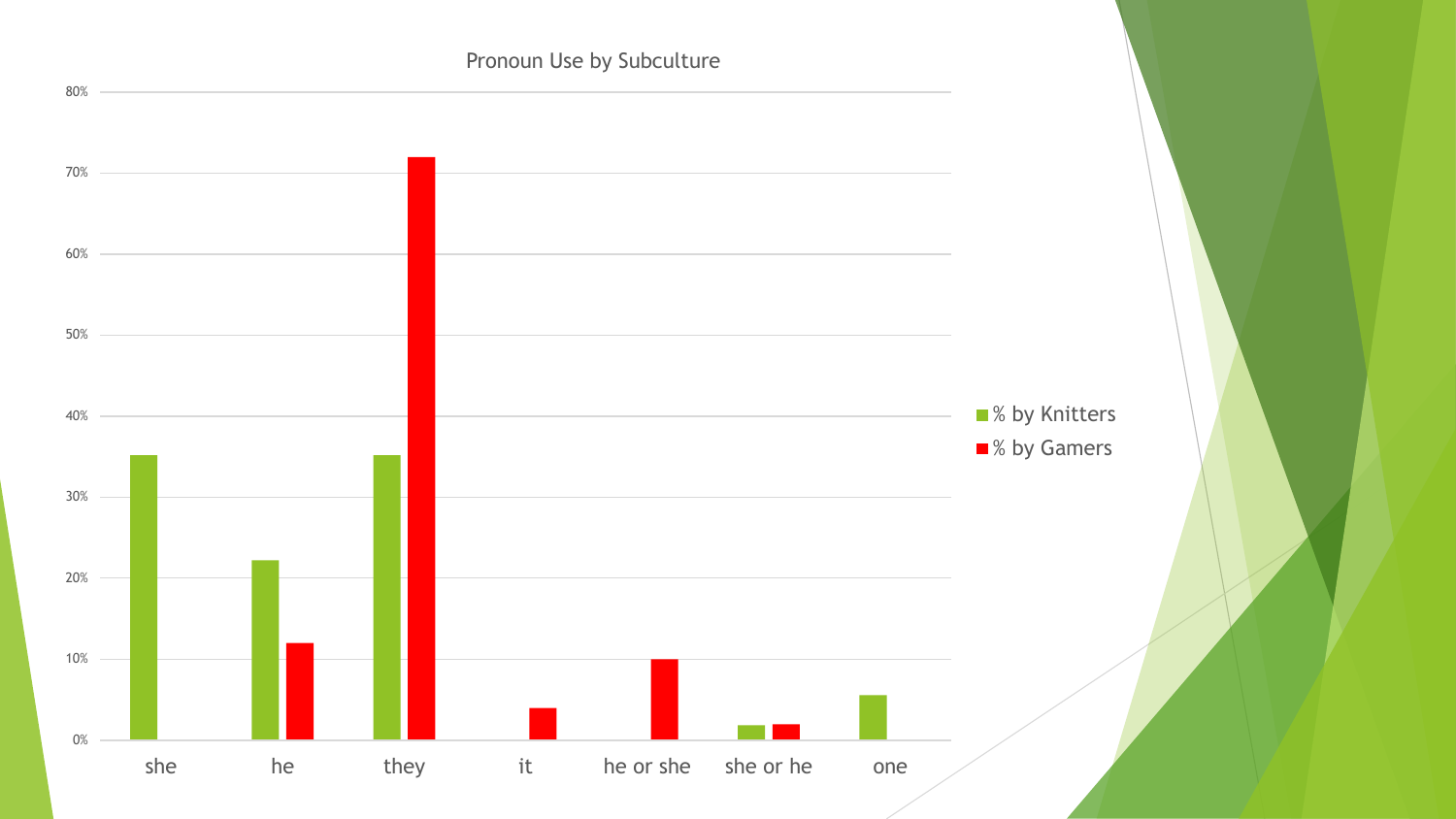#### Pronoun Use by Subculture

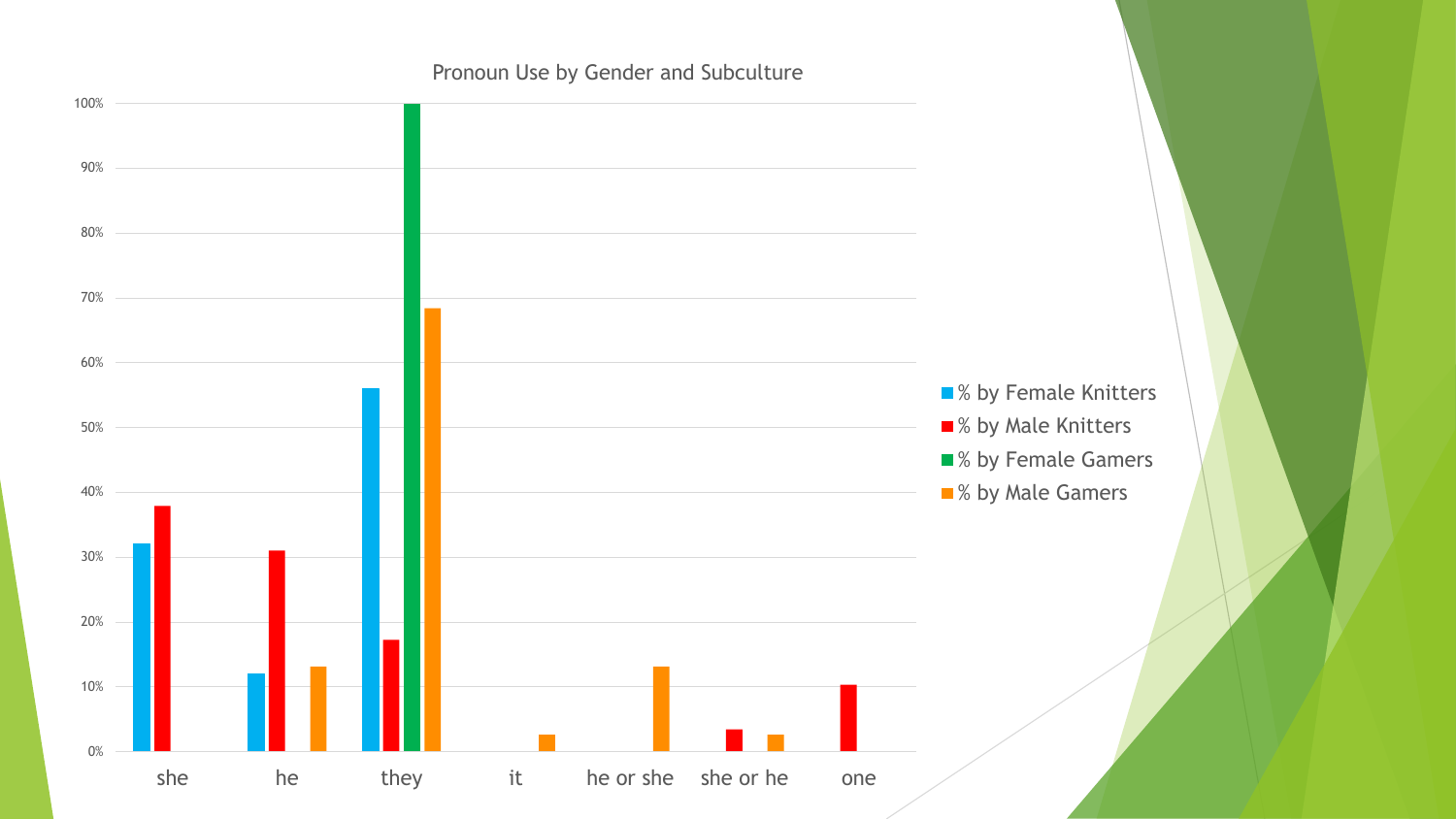#### Pronoun Use by Gender and Subculture

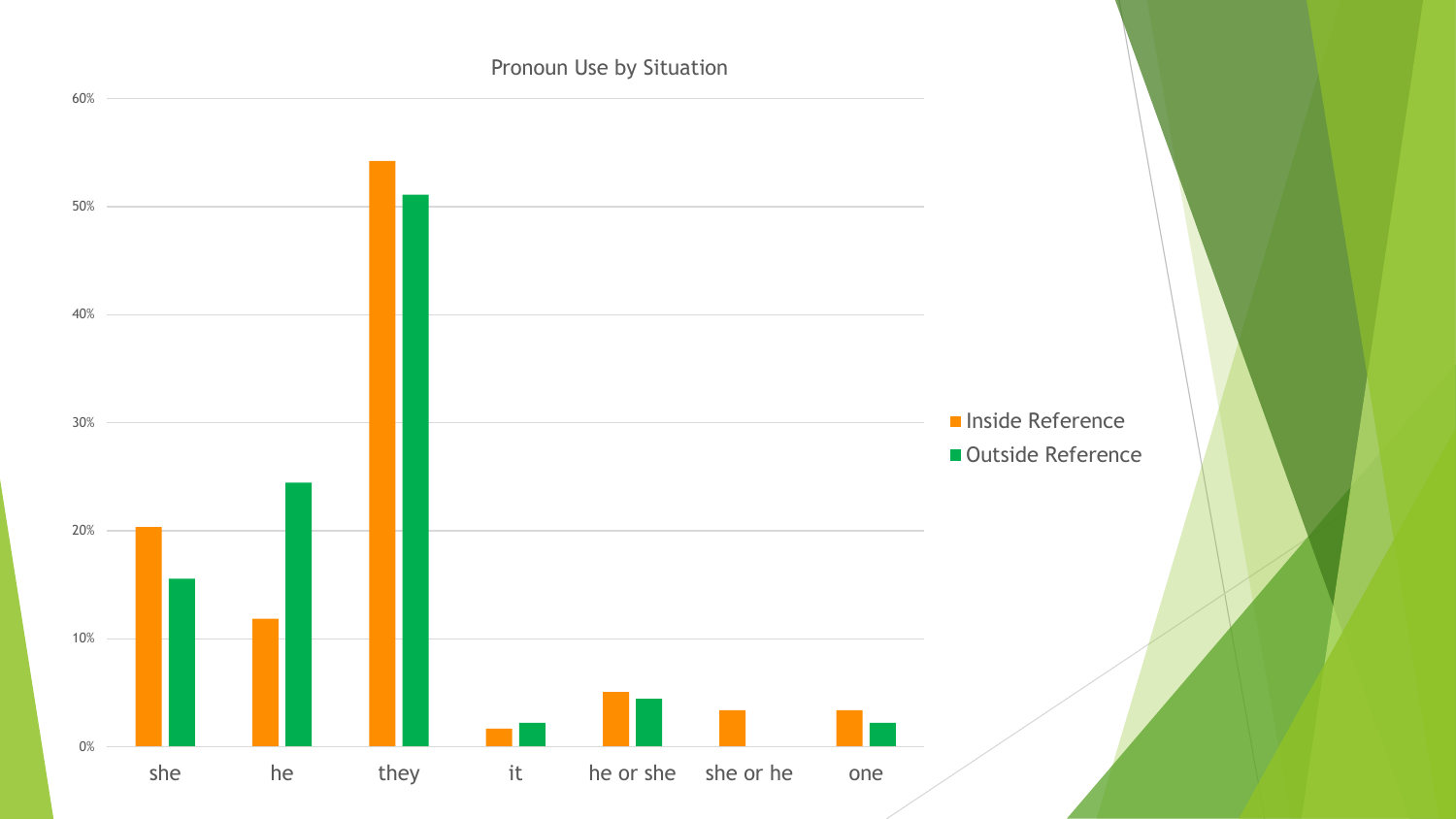Pronoun Use by Situation

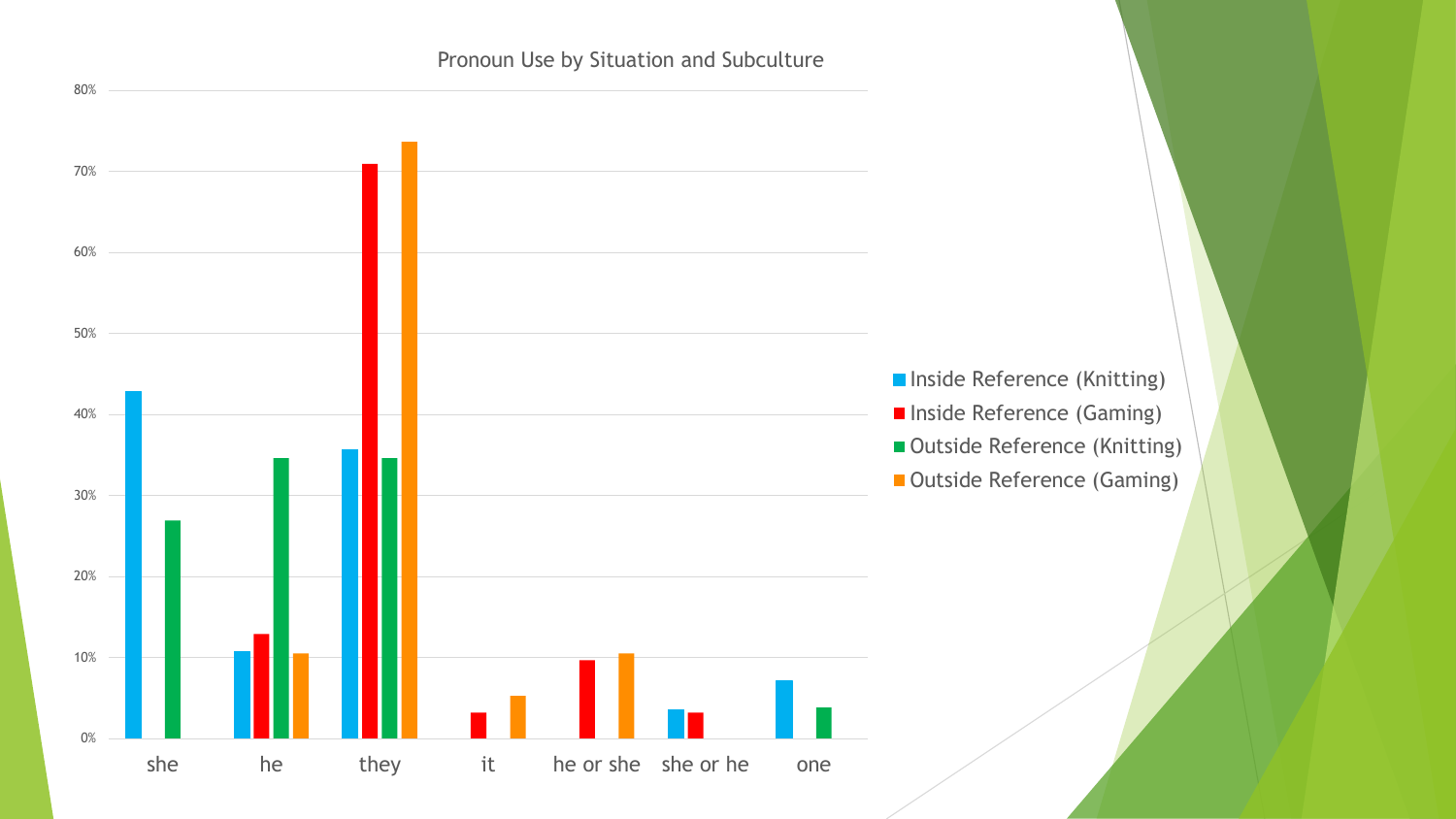#### Pronoun Use by Situation and Subculture

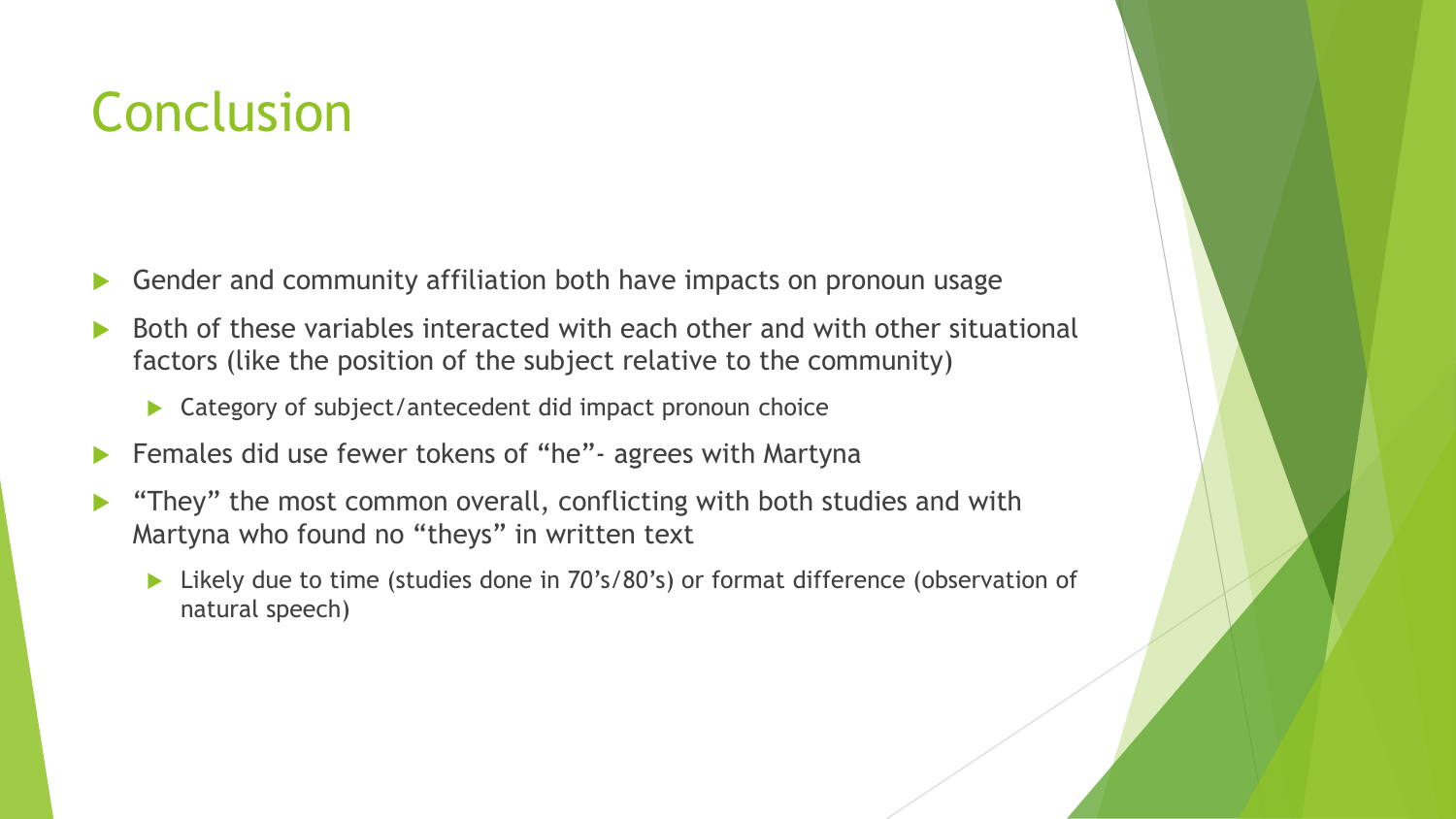# Conclusion

- Gender and community affiliation both have impacts on pronoun usage
- Both of these variables interacted with each other and with other situational factors (like the position of the subject relative to the community)
	- ▶ Category of subject/antecedent did impact pronoun choice
- ▶ Females did use fewer tokens of "he" agrees with Martyna
- "They" the most common overall, conflicting with both studies and with Martyna who found no "theys" in written text
	- ▶ Likely due to time (studies done in 70's/80's) or format difference (observation of natural speech)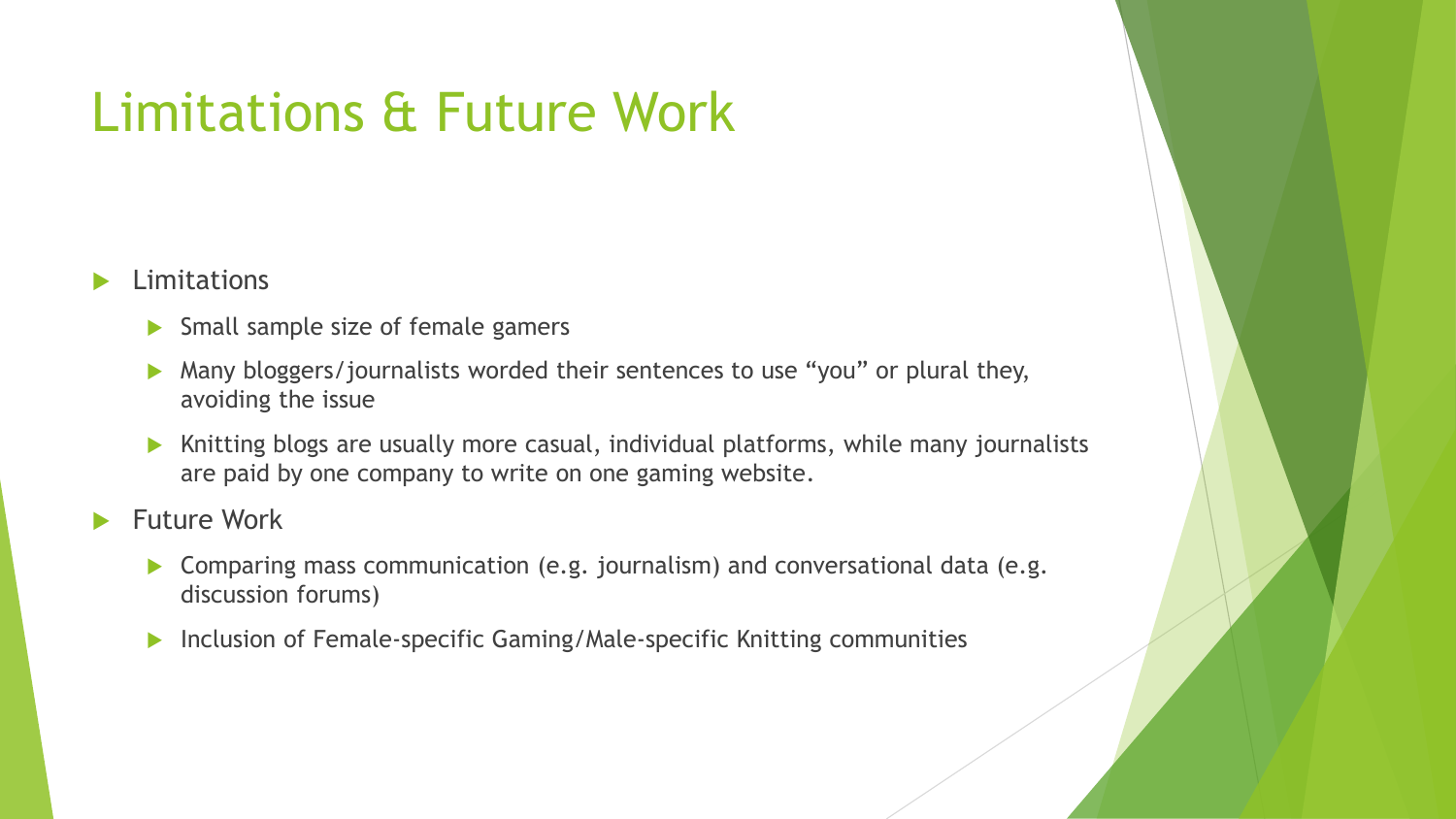# Limitations & Future Work

### **Limitations**

- $\triangleright$  Small sample size of female gamers
- Many bloggers/journalists worded their sentences to use "you" or plural they, avoiding the issue
- $\blacktriangleright$  Knitting blogs are usually more casual, individual platforms, while many journalists are paid by one company to write on one gaming website.
- Future Work
	- ▶ Comparing mass communication (e.g. journalism) and conversational data (e.g. discussion forums)
	- ▶ Inclusion of Female-specific Gaming/Male-specific Knitting communities